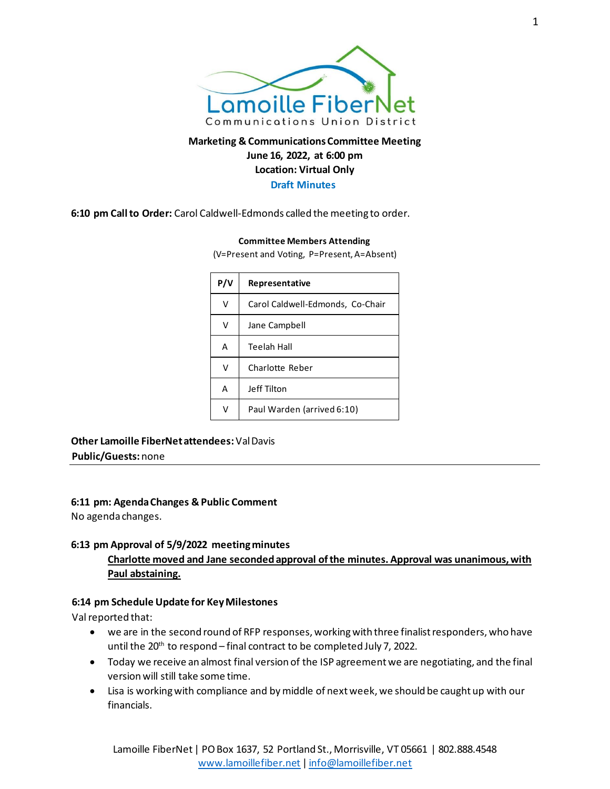

# **Marketing & Communications Committee Meeting June 16, 2022, at 6:00 pm Location: Virtual Only Draft Minutes**

**6:10 pm Call to Order:** Carol Caldwell-Edmonds called the meeting to order.

#### **Committee Members Attending**

(V=Present and Voting, P=Present, A=Absent)

| P/V | <b>Representative</b>            |
|-----|----------------------------------|
| v   | Carol Caldwell-Edmonds, Co-Chair |
| v   | Jane Campbell                    |
| A   | Teelah Hall                      |
| v   | Charlotte Reber                  |
| A   | Jeff Tilton                      |
| v   | Paul Warden (arrived 6:10)       |
|     |                                  |

**Other Lamoille FiberNet attendees:** Val Davis **Public/Guests:** none

**6:11 pm: Agenda Changes & Public Comment**

No agenda changes.

#### **6:13 pm Approval of 5/9/2022 meeting minutes**

# **Charlotte moved and Jane seconded approval of the minutes. Approval was unanimous, with Paul abstaining.**

### **6:14 pm Schedule Update for Key Milestones**

Val reported that:

- we are in the second round of RFP responses, working with three finalist responders, who have until the 20<sup>th</sup> to respond – final contract to be completed July 7, 2022.
- Today we receive an almost final version of the ISP agreement we are negotiating, and the final version will still take some time.
- Lisa is working with compliance and by middle of next week, we should be caught up with our financials.